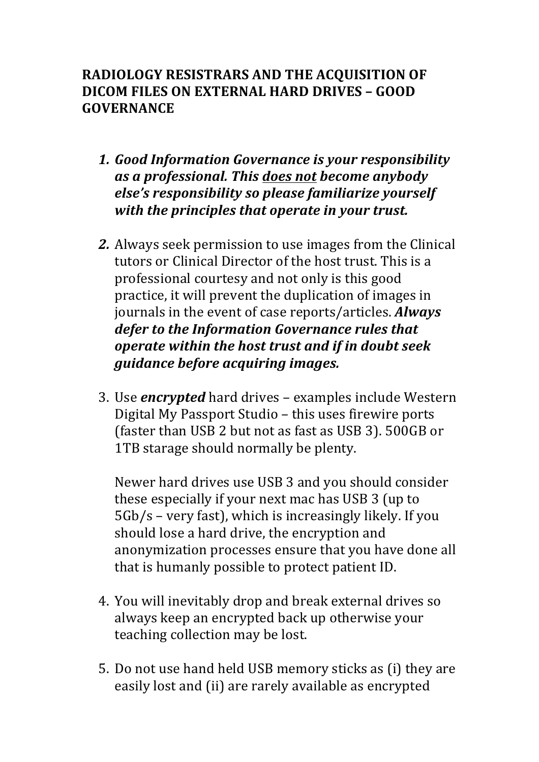## RADIOLOGY RESISTRARS AND THE ACOUISITION OF **DICOM)FILES)ON)EXTERNAL)HARD)DRIVES – GOOD) GOVERNANCE**

- **1. Good Information Governance is your responsibility** *as&a&professional.&This&does&not become&anybody& else's responsibility so please familiarize vourself with the principles that operate in your trust.*
- **2.** Always seek permission to use images from the Clinical tutors or Clinical Director of the host trust. This is a professional courtesy and not only is this good practice, it will prevent the duplication of images in journals in'the'event'of'case'reports/articles.'*Always&* defer to the Information Governance rules that *operate&within&the&host&trust&and&if&in&doubt&seek& guidance before acquiring images.*
- 3. Use *encrypted* hard drives examples include Western Digital My Passport Studio – this uses firewire ports (faster than USB 2 but not as fast as USB 3). 500GB or 1TB starage should normally be plenty.

Newer hard drives use USB 3 and you should consider these especially if your next mac has USB 3 (up to 5Gb/s – very fast), which is increasingly likely. If you should lose a hard drive, the encryption and anonymization processes ensure that you have done all that is humanly possible to protect patient ID.

- 4. You will inevitably drop and break external drives so always keep an encrypted back up otherwise your teaching collection may be lost.
- 5. Do not use hand held USB memory sticks as (i) they are easily lost and (ii) are rarely available as encrypted